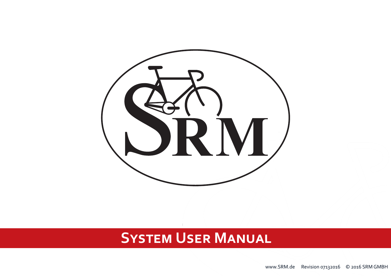

# **System User Manual**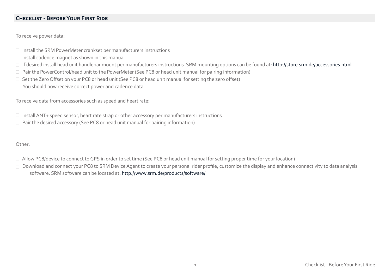## **CHECKLIST - BEFORE YOUR FIRST RIDE**

To receive power data:

- $\Box$  Install the SRM PowerMeter crankset per manufacturers instructions
- $\Box$  Install cadence magnet as shown in this manual
- □ If desired install head unit handlebar mount per manufacturers instructions. SRM mounting options can be found at: <http://store.srm.de/accessories.html>
- Pair the PowerControl/head unit to the PowerMeter (See PC8 or head unit manual for pairing information)
- □ Set the Zero Offset on your PC8 or head unit (See PC8 or head unit manual for setting the zero offset)
	- You should now receive correct power and cadence data

To receive data from accessories such as speed and heart rate:

- $\Box$  Install ANT+ speed sensor, heart rate strap or other accessory per manufacturers instructions
- $\Box$  Pair the desired accessory (See PC8 or head unit manual for pairing information)

Other:

- Allow PC8/device to connect to GPS in order to set time (See PC8 or head unit manual for setting proper time for your location)
- □ Download and connect your PC8 to SRM Device Agent to create your personal rider profile, customize the display and enhance connectivity to data analysis software. SRM software can be located at: <http://www.srm.de/products/software/>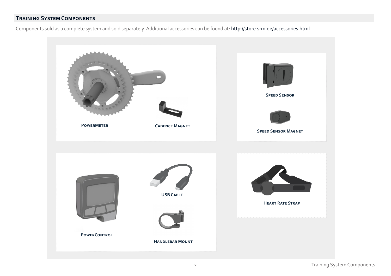# **Training System Components**

Components sold as a complete system and sold separately. Additional accessories can be found at: [http://store.srm.de/accessories.html](http://store.srm.de/accessories.html ) 

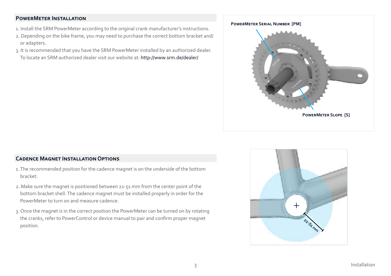## **PowerMeter Installation**

- 1. Install the SRM PowerMeter according to the original crank manufacturer's instructions.
- 2. Depending on the bike frame, you may need to purchase the correct bottom bracket and/ or adapters.
- 3. It is recommended that you have the SRM PowerMeter installed by an authorized dealer. To locate an SRM authorized dealer visit our website at: [http://www.srm.de/dealer/](http://www.srm.de/dealer/ )



## **Cadence Magnet Installation Options**

- 1. The recommended position for the cadence magnet is on the underside of the bottom bracket.
- 2. Make sure the magnet is positioned between 21-51 mm from the center point of the bottom bracket shell. The cadence magnet must be installed properly in order for the PowerMeter to turn on and measure cadence.
- 3. Once the magnet is in the correct position the PowerMeter can be turned on by rotating the cranks, refer to PowerControl or device manual to pair and confirm proper magnet position.

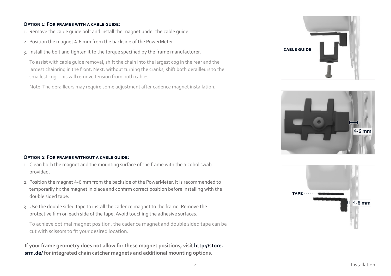#### **Option 1: For frames with a cable guide:**

- 1. Remove the cable guide bolt and install the magnet under the cable guide.
- 2. Position the magnet 4-6 mm from the backside of the PowerMeter.
- 3. Install the bolt and tighten it to the torque specified by the frame manufacturer.

To assist with cable guide removal, shift the chain into the largest cog in the rear and the largest chainring in the front. Next, without turning the cranks, shift both derailleurs to the smallest cog. This will remove tension from both cables.

Note: The derailleurs may require some adjustment after cadence magnet installation.

#### **Option 2: For frames without a cable guide:**

- 1. Clean both the magnet and the mounting surface of the frame with the alcohol swab provided.
- 2. Position the magnet 4-6 mm from the backside of the PowerMeter. It is recommended to temporarily fix the magnet in place and confirm correct position before installing with the double sided tape.
- 3. Use the double sided tape to install the cadence magnet to the frame. Remove the protective film on each side of the tape. Avoid touching the adhesive surfaces.

To achieve optimal magnet position, the cadence magnet and double sided tape can be cut with scissors to fit your desired location.

 **If your frame geometry does not allow for these magnet positions, visit [http://store.](http://store.srm.de/ )   [srm.de/ f](http://store.srm.de/ )or integrated chain catcher magnets and additional mounting options.**





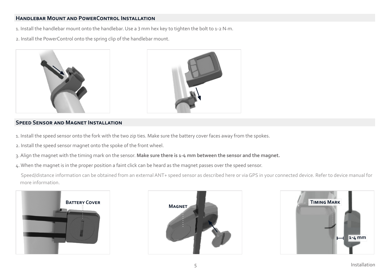# **Handlebar Mount and PowerControl Installation**

1. Install the handlebar mount onto the handlebar. Use a 3 mm hex key to tighten the bolt to 1-2 N.m.

2. Install the PowerControl onto the spring clip of the handlebar mount.





## **SPEED SENSOR AND MAGNET INSTALLATION**

- 1. Install the speed sensor onto the fork with the two zip ties. Make sure the battery cover faces away from the spokes.
- 2. Install the speed sensor magnet onto the spoke of the front wheel.
- 3. Align the magnet with the timing mark on the sensor. **Make sure there is 1-4 mm between the sensor and the magnet.**
- 4. When the magnet is in the proper position a faint click can be heard as the magnet passes over the speed sensor.

 Speed/distance information can be obtained from an external ANT+ speed sensor as described here or via GPS in your connected device. Refer to device manual for more information.





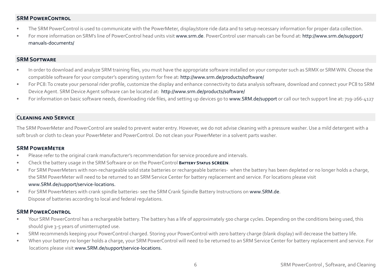## **SRM PowerControl**

- The SRM PowerControl is used to communicate with the PowerMeter, display/store ride data and to setup necessary information for proper data collection.
- For more information on SRM's line of PowerControl head units visit [www.srm.de.](http://www.srm.de) PowerControl user manuals can be found at: [http://www.srm.de/support/](http://www.srm.de/support/manuals-documents/ )  [manuals-documents/](http://www.srm.de/support/manuals-documents/ )

## **SRM Software**

- In order to download and analyze SRM training files, you must have the appropriate software installed on your computer such as SRMX or SRM WIN. Choose the compatible software for your computer's operating system for free at: [http://www.srm.de/products/software/](www.srm.de/products/software/)
- For PC8: To create your personal rider profile, customize the display and enhance connectivity to data analysis software, download and connect your PC8 to SRM Device Agent. SRM Device Agent software can be located at: [http://www.srm.de/products/software/](www.srm.de/products/software/)
- For information on basic software needs, downloading ride files, and setting up devices go to [www.SRM.de/support](http://www.SRM.de/support) or call our tech support line at: 719-266-4127

## **Cleaning and Service**

The SRM PowerMeter and PowerControl are sealed to prevent water entry. However, we do not advise cleaning with a pressure washer. Use a mild detergent with a soft brush or cloth to clean your PowerMeter and PowerControl. Do not clean your PowerMeter in a solvent parts washer.

#### **SRM PowerMeter**

- Please refer to the original crank manufacturer's recommendation for service procedure and intervals.
- Check the battery usage in the SRM Software or on the PowerControl **Battery Status screen**.
- For SRM PowerMeters with non-rechargeable solid state batteries or rechargeable batteries- when the battery has been depleted or no longer holds a charge, the SRM PowerMeter will need to be returned to an SRM Service Center for battery replacement and service. For locations please visit

#### [www.SRM.de/support/service-locations.](http://www.srm.de/support/service-locations)

• For SRM PowerMeters with crank spindle batteries- see the SRM Crank Spindle Battery Instructions on [www.SRM.de](http://www.srm.de). Dispose of batteries according to local and federal regulations.

## **SRM PowerControl**

- Your SRM PowerControl has a rechargeable battery. The battery has a life of approximately 500 charge cycles. Depending on the conditions being used, this should give 3-5 years of uninterrupted use.
- SRM recommends keeping your PowerControl charged. Storing your PowerControl with zero battery charge (blank display) will decrease the battery life.
- When your battery no longer holds a charge, your SRM PowerControl will need to be returned to an SRM Service Center for battery replacement and service. For locations please visit [www.SRM.de/support/service-locations](http://www.srm.de/support/service-locations ).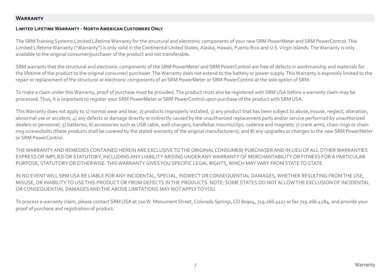#### **Warranty**

#### **Limited Lifetime Warranty - North American Customers Only**

The SRM Training Systems Limited Lifetime Warranty for the structural and electronic components of your new SRM PowerMeter and SRM PowerControl. This Limited Lifetime Warranty ("Warranty") is only valid in the Continental United States, Alaska, Hawaii, Puerto Rico and U.S. Virgin Islands. The Warranty is only available to the original consumer/purchaser of the product and not transferable.

SRM warrants that the structural and electronic components of the SRM PowerMeter and SRM PowerControl are free of defects in workmanship and materials for the lifetime of the product to the original consumer/ purchaser. The Warranty does not extend to the battery or power supply. This Warranty is expressly limited to the repair or replacement of the structural or electronic components of an SRM PowerMeter or SRM PowerControl at the sole option of SRM.

To make a claim under this Warranty, proof of purchase must be provided. The product must also be registered with SRM USA before a warranty claim may be processed. Thus, it is important to register your SRM PowerMeter or SRM PowerControl upon purchase of the product with SRM USA.

This Warranty does not apply to 1) normal wear and tear; 2) products improperly installed; 3) any product that has been subject to abuse,misuse, neglect, alteration, abnormal use or accident;  $\Delta$ ) any defects or damage directly or indirectly caused by the unauthorized replacement parts and/or service performed by unauthorized dealers or personnel; 5) batteries; 6) accessories such as USB cable, wall-chargers, handlebar mounts/clips, cadence and magnets; 7) crank arms, chain rings or chain ring screws/bolts (these products shall be covered by the stated warranty of the original manufacturers); and 8) any upgrades or changes to the new SRM PowerMeter or SRM PowerControl.

THE WARRANTY AND REMEDIES CONTAINED HEREIN ARE EXCLUSIVE TO THE ORIGINAL CONSUMER/ PURCHASER AND IN LIEU OF ALL OTHER WARRANTIES EXPRESS OR IMPLIED OR STATUTORY, INCLUDING ANY LIABILITY ARISING UNDER ANY WARRANTY OF MERCHANTABILITY OR FITNESS FOR A PARTICULAR PURPOSE, STATUTORY OR OTHERWISE. THIS WARRANTY GIVES YOU SPECIFIC LEGAL RIGHTS, WHICH MAY VARY FROM STATE TO STATE.

IN NO EVENT WILL SRM USA BE LIABLE FOR ANY INCIDENTAL, SPECIAL, INDIRECT OR CONSEQUENTIAL DAMAGES, WHETHER RESULTING FROM THE USE, MISUSE, OR INABILITY TO USE THIS PRODUCT OR FROM DEFECTS IN THE PRODUCTS. NOTE: SOME STATES DO NOT ALLOW THE EXCLUSION OF INCIDENTAL OR CONSEQUENTIAL DAMAGES AND THE ABOVE LIMITATIONS MAY NOT APPLY TO YOU.

To process a warranty claim, please contact SRM USA at 720 W. Monument Street, Colorado Springs, CO 80904, 719.266.4127 or fax 719.266.4284, and provide your proof of purchase and registration of product.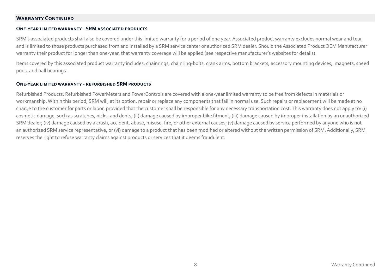## **Warranty Continued**

#### **One-year limited warranty - SRM associated products**

SRM's associated products shall also be covered under this limited warranty for a period of one year. Associated product warranty excludes normal wear and tear, and is limited to those products purchased from and installed by a SRM service center or authorized SRM dealer. Should the Associated Product OEM Manufacturer warranty their product for longer than one-year, that warranty coverage will be applied (see respective manufacturer's websites for details).

Items covered by this associated product warranty includes: chainrings, chainring-bolts, crank arms, bottom brackets, accessory mounting devices, magnets, speed pods, and ball bearings.

#### **One-year limited warranty - refurbished SRM products**

Refurbished Products: Refurbished PowerMeters and PowerControls are covered with a one-year limited warranty to be free from defects in materials or workmanship. Within this period, SRM will, at its option, repair or replace any components that fail in normal use. Such repairs or replacement will be made at no charge to the customer for parts or labor, provided that the customer shall be responsible for any necessary transportation cost. This warranty does not apply to: (i) cosmetic damage, such as scratches, nicks, and dents; (ii) damage caused by improper bike fitment; (iii) damage caused by improper installation by an unauthorized SRM dealer; (iv) damage caused by a crash, accident, abuse, misuse, fire, or other external causes; (v) damage caused by service performed by anyone who is not an authorized SRM service representative; or (vi) damage to a product that has been modified or altered without the written permission of SRM. Additionally, SRM reserves the right to refuse warranty claims against products or services that it deems fraudulent.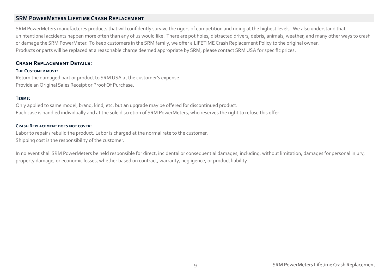## **SRM PowerMeters Lifetime Crash Replacement**

SRM PowerMeters manufactures products that will confidently survive the rigors of competition and riding at the highest levels. We also understand that unintentional accidents happen more often than any of us would like. There are pot holes, distracted drivers, debris, animals, weather, and many other ways to crash or damage the SRM PowerMeter. To keep customers in the SRM family, we offer a LIFETIME Crash Replacement Policy to the original owner. Products or parts will be replaced at a reasonable charge deemed appropriate by SRM, please contact SRM USA for specific prices.

## **Crash Replacement Details:**

#### **The Customer must:**

Return the damaged part or product to SRM USA at the customer's expense. Provide an Original Sales Receipt or Proof Of Purchase.

#### **Terms:**

Only applied to same model, brand, kind, etc. but an upgrade may be offered for discontinued product. Each case is handled individually and at the sole discretion of SRM PowerMeters, who reserves the right to refuse this offer.

#### **Crash Replacement does not cover:**

Labor to repair / rebuild the product. Labor is charged at the normal rate to the customer. Shipping cost is the responsibility of the customer.

In no event shall SRM PowerMeters be held responsible for direct, incidental or consequential damages, including, without limitation, damages for personal injury, property damage, or economic losses, whether based on contract, warranty, negligence, or product liability.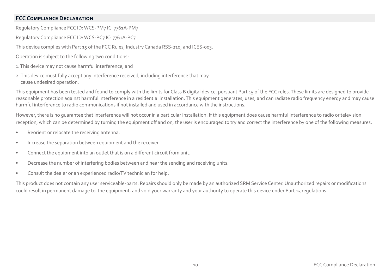## **FCC Compliance Declaration**

Regulatory Compliance FCC ID: WCS-PM7 IC: 7761A-PM7

Regulatory Compliance FCC ID: WCS-PC7 IC: 7761A-PC7

This device complies with Part 15 of the FCC Rules, Industry Canada RSS-210, and ICES-003.

- Operation is subject to the following two conditions:
- 1. This device may not cause harmful interference, and
- 2. This device must fully accept any interference received, including interference that may cause undesired operation.

This equipment has been tested and found to comply with the limits for Class B digital device, pursuant Part 15 of the FCC rules. These limits are designed to provide reasonable protection against harmful interference in a residential installation. This equipment generates, uses, and can radiate radio frequency energy and may cause harmful interference to radio communications if not installed and used in accordance with the instructions.

However, there is no guarantee that interference will not occur in a particular installation. If this equipment does cause harmful interference to radio or television reception, which can be determined by turning the equipment off and on, the user is encouraged to try and correct the interference by one of the following measures:

- Reorient or relocate the receiving antenna.
- Increase the separation between equipment and the receiver.
- Connect the equipment into an outlet that is on a different circuit from unit.
- Decrease the number of interfering bodies between and near the sending and receiving units.
- Consult the dealer or an experienced radio/TV technician for help.

This product does not contain any user serviceable-parts. Repairs should only be made by an authorized SRM Service Center. Unauthorized repairs or modifications could result in permanent damage to the equipment, and void your warranty and your authority to operate this device under Part 15 regulations.